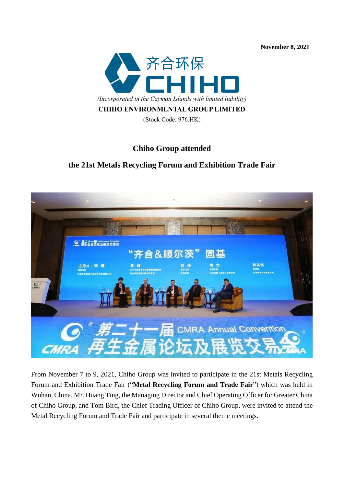**November 8, 2021** 



## **Chiho Group attended**

## **the 21st Metals Recycling Forum and Exhibition Trade Fair**



From November 7 to 9, 2021, Chiho Group was invited to participate in the 21st Metals Recycling Forum and Exhibition Trade Fair ("**Metal Recycling Forum and Trade Fair**") which was held in Wuhan, China. Mr. Huang Ting, the Managing Director and Chief Operating Officer for Greater China of Chiho Group, and Tom Bird, the Chief Trading Officer of Chiho Group, were invited to attend the Metal Recycling Forum and Trade Fair and participate in several theme meetings.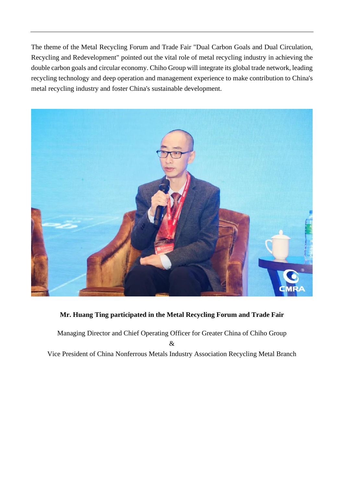The theme of the Metal Recycling Forum and Trade Fair "Dual Carbon Goals and Dual Circulation, Recycling and Redevelopment" pointed out the vital role of metal recycling industry in achieving the double carbon goals and circular economy. Chiho Group will integrate its global trade network, leading recycling technology and deep operation and management experience to make contribution to China's metal recycling industry and foster China's sustainable development.



## **Mr. Huang Ting participated in the Metal Recycling Forum and Trade Fair**

Managing Director and Chief Operating Officer for Greater China of Chiho Group & Vice President of China Nonferrous Metals Industry Association Recycling Metal Branch